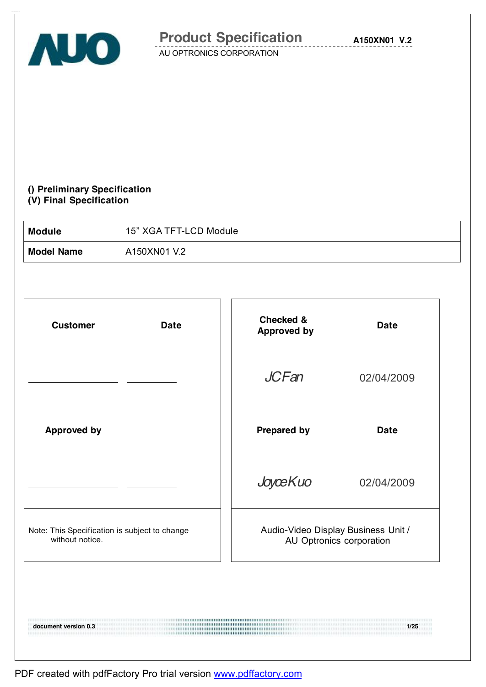

**A150XN01 V.2**

AU OPTRONICS CORPORATION

### **() Preliminary Specification (V) Final Specification**

| <b>Module</b>     | 15" XGA TFT-LCD Module |
|-------------------|------------------------|
| <b>Model Name</b> | A150XN01 V.2           |

| <b>Customer</b>                                                  | <b>Date</b> | Checked &<br><b>Approved by</b> | <b>Date</b>                                                     |
|------------------------------------------------------------------|-------------|---------------------------------|-----------------------------------------------------------------|
|                                                                  |             | <b>JCFan</b>                    | 02/04/2009                                                      |
| <b>Approved by</b>                                               |             | <b>Prepared by</b>              | <b>Date</b>                                                     |
|                                                                  |             | JoyceKuo                        | 02/04/2009                                                      |
| Note: This Specification is subject to change<br>without notice. |             |                                 | Audio-Video Display Business Unit /<br>AU Optronics corporation |
|                                                                  |             |                                 |                                                                 |

**document version 0.3 1/25**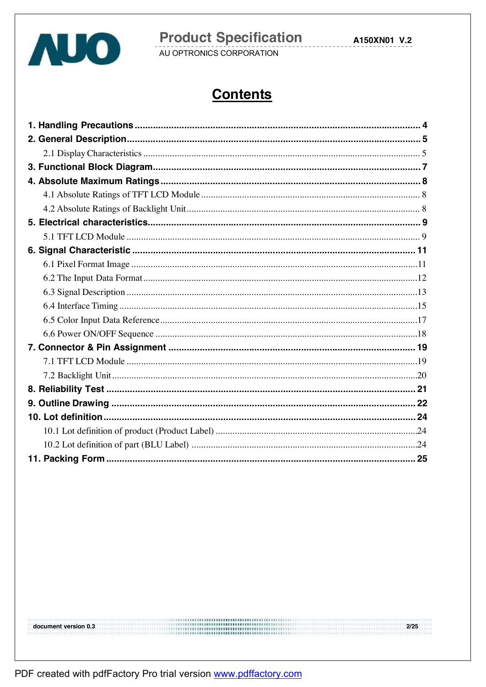

# **Product Specification**<br>AU OPTRONICS CORPORATION

A150XN01 V.2

# **Contents**

 $275$ 

PDF created with pdfFactory Pro trial version www.pdffactory.com

document version 0.3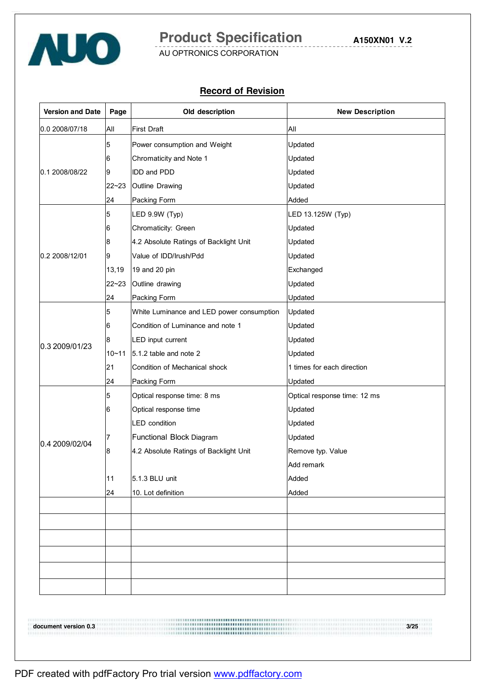

**A150XN01 V.2**

AU OPTRONICS CORPORATION

#### **Record of Revision**

| <b>Version and Date</b> | Page      | Old description                           | <b>New Description</b>       |
|-------------------------|-----------|-------------------------------------------|------------------------------|
| 0.0 2008/07/18          | All       | <b>First Draft</b>                        | All                          |
|                         | 5         | Power consumption and Weight              | Updated                      |
|                         | 6         | Chromaticity and Note 1                   | Updated                      |
| 0.1 2008/08/22          | 9         | <b>IDD and PDD</b>                        | Updated                      |
|                         | 22~23     | Outline Drawing                           | Updated                      |
|                         | 24        | Packing Form                              | Added                        |
|                         | 5         | LED 9.9W (Typ)                            | LED 13.125W (Typ)            |
|                         | 6         | Chromaticity: Green                       | Updated                      |
|                         | 8         | 4.2 Absolute Ratings of Backlight Unit    | Updated                      |
| 0.2 2008/12/01          | 9         | Value of IDD/Irush/Pdd                    | Updated                      |
|                         | 13,19     | 19 and 20 pin                             | Exchanged                    |
|                         | $22 - 23$ | Outline drawing                           | Updated                      |
|                         | 24        | Packing Form                              | Updated                      |
|                         | 5         | White Luminance and LED power consumption | Updated                      |
|                         | 6         | Condition of Luminance and note 1         | Updated                      |
| 0.3 2009/01/23          | 8         | LED input current                         | Updated                      |
|                         | $10 - 11$ | 5.1.2 table and note 2                    | Updated                      |
|                         | 21        | Condition of Mechanical shock             | 1 times for each direction   |
|                         | 24        | Packing Form                              | Updated                      |
|                         | 5         | Optical response time: 8 ms               | Optical response time: 12 ms |
|                         | 6         | Optical response time                     | Updated                      |
|                         |           | <b>LED</b> condition                      | Updated                      |
| 0.4 2009/02/04          | 7         | Functional Block Diagram                  | Updated                      |
|                         | 8         | 4.2 Absolute Ratings of Backlight Unit    | Remove typ. Value            |
|                         |           |                                           | Add remark                   |
|                         | 11        | 5.1.3 BLU unit                            | Added                        |
|                         | 24        | 10. Lot definition                        | Added                        |
|                         |           |                                           |                              |
|                         |           |                                           |                              |
|                         |           |                                           |                              |
|                         |           |                                           |                              |
|                         |           |                                           |                              |
|                         |           |                                           |                              |
|                         |           |                                           |                              |

**document version 0.3 3/25**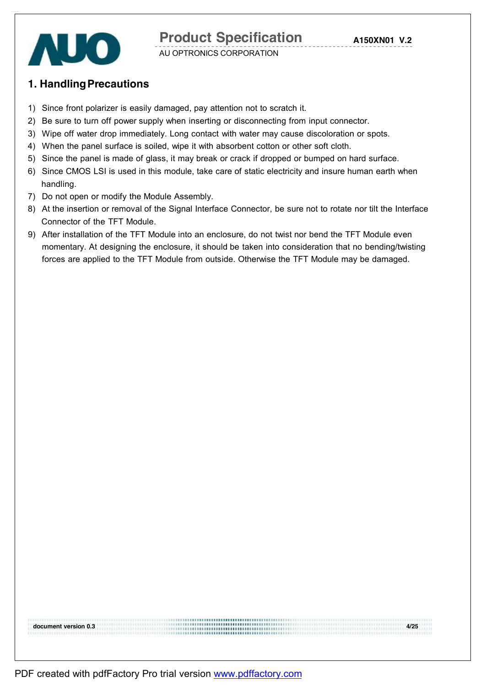

### **1. HandlingPrecautions**

- 1) Since front polarizer is easily damaged, pay attention not to scratch it.
- 2) Be sure to turn off power supply when inserting or disconnecting from input connector.
- 3) Wipe off water drop immediately. Long contact with water may cause discoloration or spots.
- 4) When the panel surface is soiled, wipe it with absorbent cotton or other soft cloth.
- 5) Since the panel is made of glass, it may break or crack if dropped or bumped on hard surface.
- 6) Since CMOS LSI is used in this module, take care of static electricity and insure human earth when handling.
- 7) Do not open or modify the Module Assembly.
- 8) At the insertion or removal of the Signal Interface Connector, be sure not to rotate nor tilt the Interface Connector of the TFT Module.
- 9) After installation of the TFT Module into an enclosure, do not twist nor bend the TFT Module even momentary. At designing the enclosure, it should be taken into consideration that no bending/twisting forces are applied to the TFT Module from outside. Otherwise the TFT Module may be damaged.

**document version 0.3 4/25**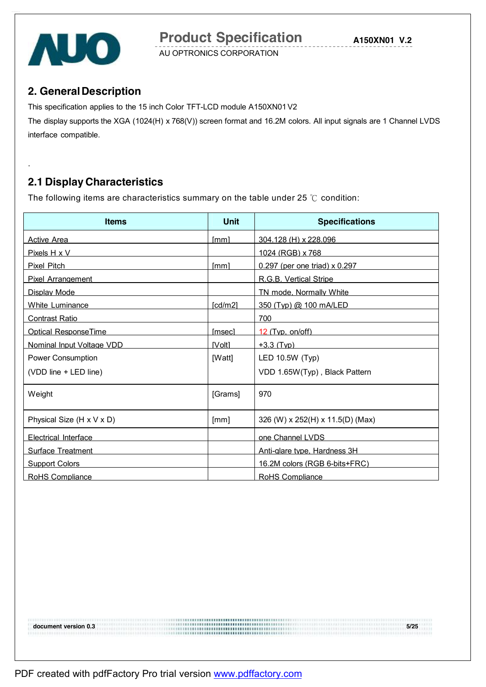



.

AU OPTRONICS CORPORATION

### **2. GeneralDescription**

This specification applies to the 15 inch Color TFT-LCD module A150XN01V2

The display supports the XGA (1024(H) x 768(V)) screen format and 16.2M colors. All input signals are 1 Channel LVDS interface compatible.

# **2.1 Display Characteristics**

The following items are characteristics summary on the table under 25 ℃ condition:

| <b>Items</b>                | Unit          | <b>Specifications</b>             |
|-----------------------------|---------------|-----------------------------------|
| <b>Active Area</b>          | [mm]          | 304.128 (H) x 228.096             |
| Pixels H x V                |               | 1024 (RGB) x 768                  |
| <b>Pixel Pitch</b>          | [mm]          | $0.297$ (per one triad) x $0.297$ |
| Pixel Arrangement           |               | R.G.B. Vertical Stripe            |
| Display Mode                |               | TN mode, Normally White           |
| White Luminance             | [cd/m2]       | 350 (Typ) @ 100 mA/LED            |
| <b>Contrast Ratio</b>       |               | 700                               |
| <b>Optical ResponseTime</b> | <b>Imsec1</b> | $12$ (Typ. on/off)                |
| Nominal Input Voltage VDD   | <b>IVolt1</b> | $+3.3$ (Tvp)                      |
| Power Consumption           | [Watt]        | LED 10.5W (Typ)                   |
| (VDD line + LED line)       |               | VDD 1.65W(Typ), Black Pattern     |
| Weight                      | [Grams]       | 970                               |
| Physical Size (H x V x D)   | [mm]          | 326 (W) x 252(H) x 11.5(D) (Max)  |
| <b>Electrical Interface</b> |               | one Channel LVDS                  |
| <b>Surface Treatment</b>    |               | Anti-alare type. Hardness 3H      |
| <b>Support Colors</b>       |               | 16.2M colors (RGB 6-bits+FRC)     |
| RoHS Compliance             |               | RoHS Compliance                   |

**document version 0.3 5/25**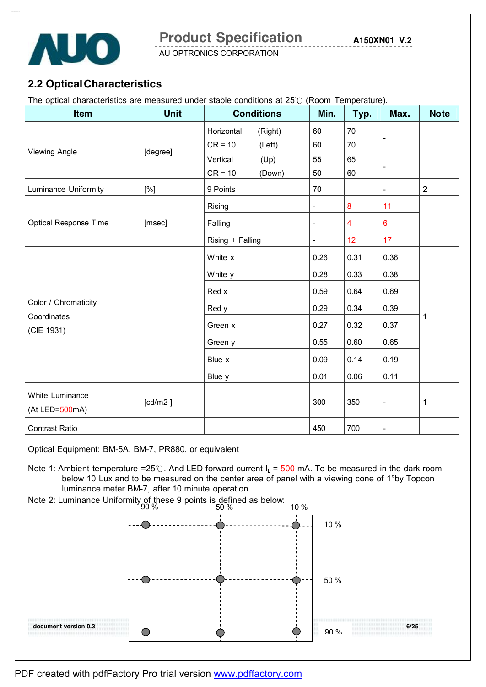

AU OPTRONICS CORPORATION

### **2.2 OpticalCharacteristics**

The optical characteristics are measured under stable conditions at 25℃ (Room Temperature).

| Item                              | <b>Unit</b> | <b>Conditions</b>     | Min.                     | Typ.                    | Max.                     | <b>Note</b>    |  |
|-----------------------------------|-------------|-----------------------|--------------------------|-------------------------|--------------------------|----------------|--|
|                                   |             | Horizontal<br>(Right) | 60                       | 70                      |                          |                |  |
|                                   |             | $CR = 10$<br>(Left)   | 60                       | 70                      | $\overline{\phantom{a}}$ |                |  |
| <b>Viewing Angle</b>              | [degree]    | Vertical<br>(Up)      | 55                       | 65                      |                          |                |  |
|                                   |             | $CR = 10$<br>(Down)   | 50                       | 60                      | $\overline{\phantom{a}}$ |                |  |
| Luminance Uniformity              | [%]         | 9 Points              | 70                       |                         | $\blacksquare$           | $\overline{2}$ |  |
|                                   |             | Rising                | -                        | 8                       | 11                       |                |  |
| <b>Optical Response Time</b>      | [msec]      | Falling               | $\overline{\phantom{a}}$ | $\overline{\mathbf{4}}$ | $\bf 6$                  |                |  |
|                                   |             | Rising + Falling      | $\overline{a}$           | 12                      | 17                       |                |  |
|                                   |             | White x               | 0.26                     | 0.31                    | 0.36                     |                |  |
|                                   |             | White y               | 0.28                     | 0.33                    | 0.38                     |                |  |
|                                   |             | Red x                 | 0.59                     | 0.64                    | 0.69                     |                |  |
| Color / Chromaticity              |             | Red y                 |                          |                         | 0.39                     |                |  |
| Coordinates<br>(CIE 1931)         |             | Green x               | 0.27                     | 0.32                    | 0.37                     | 1              |  |
|                                   |             | Green y               | 0.55                     | 0.60                    | 0.65                     |                |  |
|                                   |             | Blue x                |                          |                         | 0.19                     |                |  |
|                                   |             | Blue y                | 0.01                     | 0.06                    | 0.11                     |                |  |
| White Luminance<br>(At LED=500mA) | [cd/m2]     |                       | 300                      | 350                     | $\blacksquare$           | $\mathbf 1$    |  |
| <b>Contrast Ratio</b>             |             |                       | 450                      | 700                     | $\overline{\phantom{a}}$ |                |  |

Optical Equipment: BM-5A, BM-7, PR880, or equivalent

- Note 1: Ambient temperature =25℃. And LED forward current  $I_L$  = 500 mA. To be measured in the dark room below 10 Lux and to be measured on the center area of panel with a viewing cone of 1°by Topcon luminance meter BM-7, after 10 minute operation.
- Note 2: Luminance Uniformity of these 9 points is defined as below:

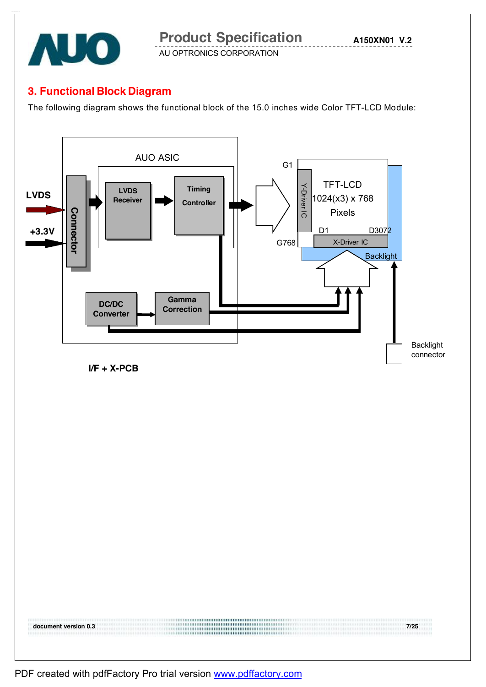

**A150XN01 V.2**

AU OPTRONICS CORPORATION

### **3. Functional Block Diagram**

The following diagram shows the functional block of the 15.0 inches wide Color TFT-LCD Module:

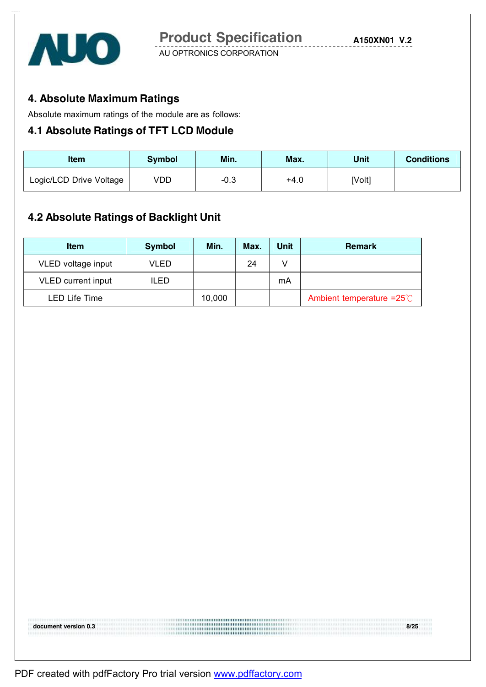

### **4. Absolute Maximum Ratings**

Absolute maximum ratings of the module are as follows:

### **4.1 Absolute Ratings of TFT LCD Module**

| Item                    | Symbol | Min. | Max.   | Unit   | <b>Conditions</b> |
|-------------------------|--------|------|--------|--------|-------------------|
| Logic/LCD Drive Voltage | √DD    | -0.3 | $+4.0$ | [Volt] |                   |

### **4.2 Absolute Ratings of Backlight Unit**

| <b>Item</b>               | <b>Symbol</b> | Min.   | Max. | Unit | <b>Remark</b>                        |
|---------------------------|---------------|--------|------|------|--------------------------------------|
| VLED voltage input        | VLED          |        | 24   |      |                                      |
| <b>VLED</b> current input | ILED          |        |      | mA   |                                      |
| <b>LED Life Time</b>      |               | 10,000 |      |      | Ambient temperature = $25^{\circ}$ C |

**document version 0.3 8/25**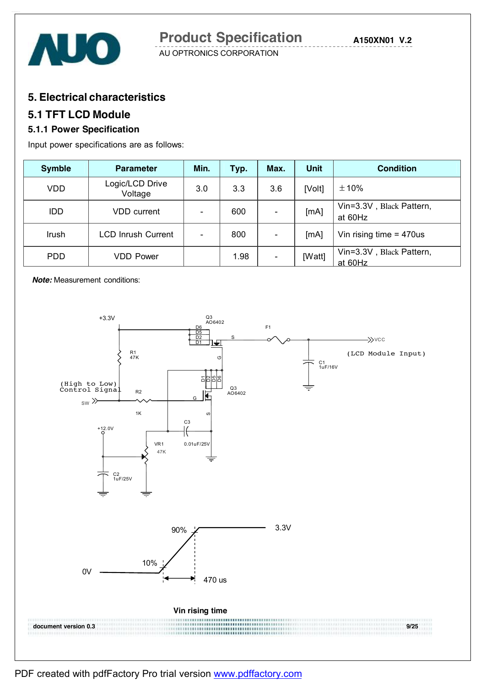



### **5. Electrical characteristics**

### **5.1 TFT LCD Module**

### **5.1.1 Power Specification**

Input power specifications are as follows:

| <b>Symble</b> | <b>Parameter</b>           | Min.                     | Typ. | Max.                     | Unit   | <b>Condition</b>                    |
|---------------|----------------------------|--------------------------|------|--------------------------|--------|-------------------------------------|
| <b>VDD</b>    | Logic/LCD Drive<br>Voltage | 3.0                      | 3.3  | 3.6                      | [Volt] | $\pm 10\%$                          |
| <b>IDD</b>    | <b>VDD</b> current         | $\overline{\phantom{a}}$ | 600  | $\overline{\phantom{a}}$ | [mA]   | Vin=3.3V, Black Pattern,<br>at 60Hz |
| Irush         | <b>LCD Inrush Current</b>  | $\overline{\phantom{0}}$ | 800  |                          | [mA]   | Vin rising time $= 470$ us          |
| <b>PDD</b>    | <b>VDD Power</b>           |                          | 1.98 | $\overline{\phantom{a}}$ | [Watt] | Vin=3.3V, Black Pattern,<br>at 60Hz |

*Note:* Measurement conditions:

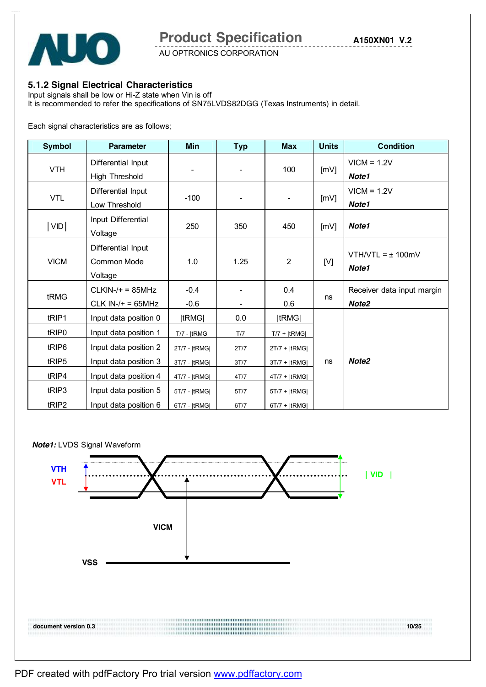

AU OPTRONICS CORPORATION

#### **5.1.2 Signal Electrical Characteristics**

Input signals shall be low or Hi-Z state when Vin is off It is recommended to refer the specifications of SN75LVDS82DGG (Texas Instruments) in detail.

Each signal characteristics are as follows;

| <b>Symbol</b>     | <b>Parameter</b>                             | Min              | <b>Typ</b> | <b>Max</b>               | <b>Units</b> | <b>Condition</b>                                |
|-------------------|----------------------------------------------|------------------|------------|--------------------------|--------------|-------------------------------------------------|
| <b>VTH</b>        | Differential Input<br>High Threshold         |                  |            | 100                      | [mV]         | $VICM = 1.2V$<br>Note1                          |
| <b>VTL</b>        | Differential Input<br>Low Threshold          | $-100$           |            | $\overline{\phantom{a}}$ | [mV]         | $VICM = 1.2V$<br>Note1                          |
| VID               | Input Differential<br>Voltage                | 250              | 350        | 450                      | [mV]         | Note1                                           |
| <b>VICM</b>       | Differential Input<br>Common Mode<br>Voltage | 1.0              | 1.25       | $\overline{2}$           | [V]          | $VTH/VTL = \pm 100mV$<br>Note1                  |
| tRMG              | $CLKIN-/+ = 85MHz$<br>$CLK IN-/+ = 65MHz$    | $-0.4$<br>$-0.6$ |            | 0.4<br>0.6               | ns           | Receiver data input margin<br>Note <sub>2</sub> |
| tRIP1             | Input data position 0                        | tRMG             | 0.0        | tRMG                     |              |                                                 |
| tRIP <sub>0</sub> | Input data position 1                        | $T/7 -  tRMG $   | T/7        | $T/7$ + $ tRMG $         |              |                                                 |
| tRIP6             | Input data position 2                        | 2T/7 -  tRMG     | 2T/7       | $2T/7 +  tRMG $          |              |                                                 |
| tRIP5             | Input data position 3                        | 3T/7 -  tRMG     | 3T/7       | 3T/7 +  tRMG             | ns           | Note <sub>2</sub>                               |
| tRIP4             | Input data position 4                        | 4T/7 -  tRMG     | 4T/7       | $4T/7 +  tRMG $          |              |                                                 |
| tRIP3             | Input data position 5                        | 5T/7 -  tRMG     | 5T/7       | $5T/7 +  tRMG $          |              |                                                 |
| tRIP2             | Input data position 6                        | 6T/7 -  tRMG     | 6T/7       | $6T/7 +  tRMG $          |              |                                                 |

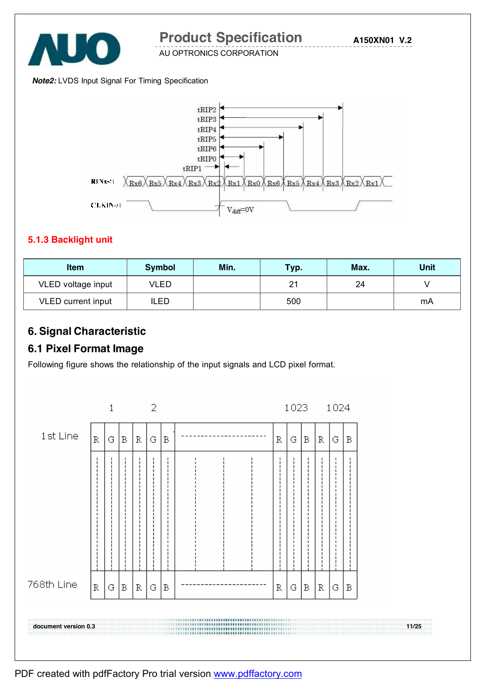

**A150XN01 V.2**

AU OPTRONICS CORPORATION

#### *Note2:* LVDS Input Signal For Timing Specification



#### **5.1.3 Backlight unit**

| <b>Item</b>        | <b>Symbol</b> | Min. | Typ. | Max. | Unit |
|--------------------|---------------|------|------|------|------|
| VLED voltage input | VLED          |      | 21   | 24   |      |
| VLED current input | ILED          |      | 500  |      | mA   |

### **6. Signal Characteristic**

### **6.1 Pixel Format Image**

Following figure shows the relationship of the input signals and LCD pixel format.

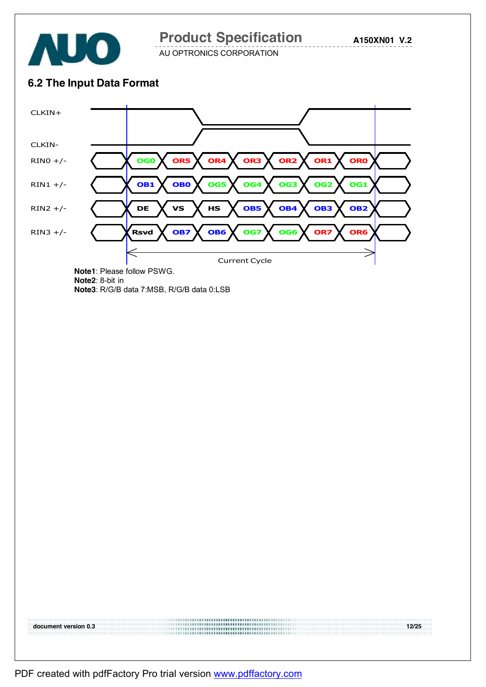

**A150XN01 V.2**

AU OPTRONICS CORPORATION

### **6.2 The Input Data Format**



**document version 0.3 12/25**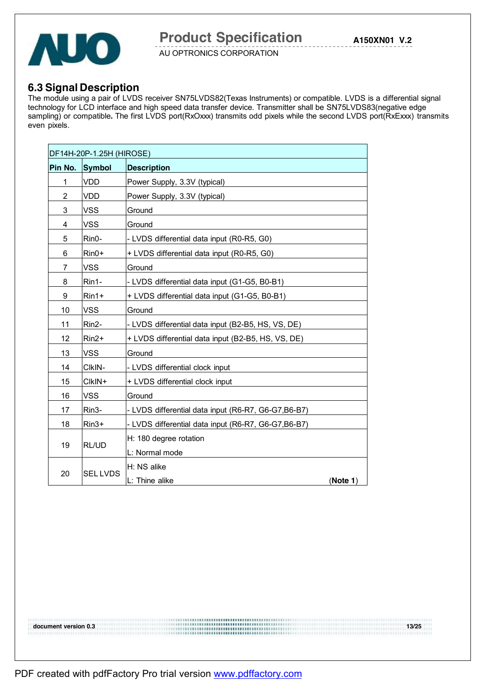

### **6.3 Signal Description**

The module using a pair of LVDS receiver SN75LVDS82(Texas Instruments) or compatible. LVDS is a differential signal technology for LCD interface and high speed data transfer device. Transmitter shall be SN75LVDS83(negative edge sampling) or compatible. The first LVDS port(RxOxxx) transmits odd pixels while the second LVDS port(RxExxx) transmits even pixels.

|                | DF14H-20P-1.25H (HIROSE) |                                                      |          |  |  |  |  |
|----------------|--------------------------|------------------------------------------------------|----------|--|--|--|--|
| Pin No. Symbol |                          | <b>Description</b>                                   |          |  |  |  |  |
| 1              | <b>VDD</b>               | Power Supply, 3.3V (typical)                         |          |  |  |  |  |
| 2              | VDD                      | Power Supply, 3.3V (typical)                         |          |  |  |  |  |
| 3              | <b>VSS</b>               | Ground                                               |          |  |  |  |  |
| 4              | <b>VSS</b>               | Ground                                               |          |  |  |  |  |
| 5              | Rin0-                    | - LVDS differential data input (R0-R5, G0)           |          |  |  |  |  |
| 6              | $Rin0+$                  | + LVDS differential data input (R0-R5, G0)           |          |  |  |  |  |
| 7              | VSS                      | Ground                                               |          |  |  |  |  |
| 8              | Rin1-                    | - LVDS differential data input (G1-G5, B0-B1)        |          |  |  |  |  |
| 9              | $Rin1+$                  | + LVDS differential data input (G1-G5, B0-B1)        |          |  |  |  |  |
| 10             | <b>VSS</b>               | Ground                                               |          |  |  |  |  |
| 11             | Rin2-                    | - LVDS differential data input (B2-B5, HS, VS, DE)   |          |  |  |  |  |
| 12             | $Rin2+$                  | + LVDS differential data input (B2-B5, HS, VS, DE)   |          |  |  |  |  |
| 13             | <b>VSS</b>               | Ground                                               |          |  |  |  |  |
| 14             | CIKIN-                   | - LVDS differential clock input                      |          |  |  |  |  |
| 15             | CIkIN+                   | + LVDS differential clock input                      |          |  |  |  |  |
| 16             | <b>VSS</b>               | Ground                                               |          |  |  |  |  |
| 17             | Rin3-                    | - LVDS differential data input (R6-R7, G6-G7, B6-B7) |          |  |  |  |  |
| 18             | $Rin3+$                  | - LVDS differential data input (R6-R7, G6-G7, B6-B7) |          |  |  |  |  |
|                |                          | H: 180 degree rotation                               |          |  |  |  |  |
| 19             | <b>RL/UD</b>             | L: Normal mode                                       |          |  |  |  |  |
| 20             | <b>SEL LVDS</b>          | H: NS alike<br>L: Thine alike                        | (Note 1) |  |  |  |  |

PDF created with pdfFactory Pro trial version [www.pdffactory.com](http://www.pdffactory.com)

**document version 0.3 13/25**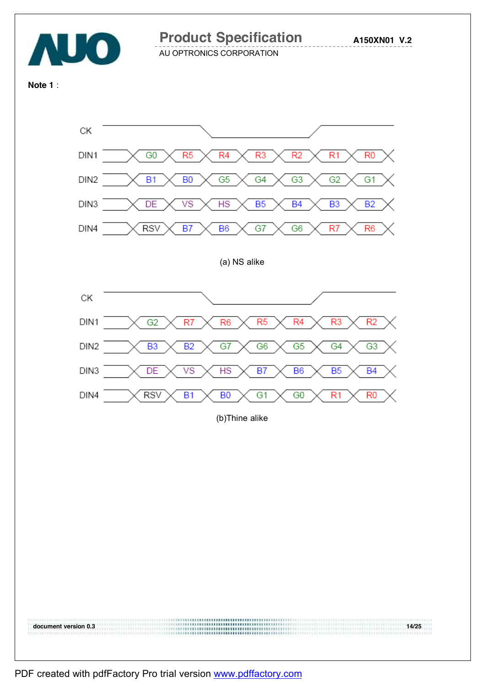

**A150XN01 V.2**

AU OPTRONICS CORPORATION

**Note 1** :

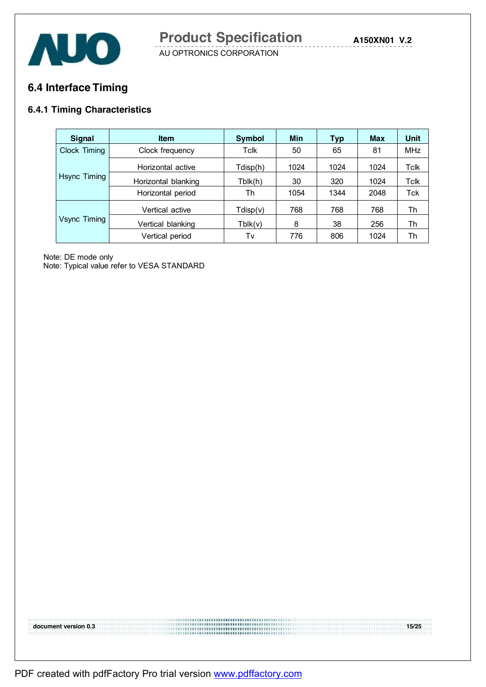

### **6.4 Interface Timing**

### **6.4.1 Timing Characteristics**

| Signal       | <b>Item</b>         | <b>Symbol</b> | Min  | <b>Typ</b> | Max  | Unit        |
|--------------|---------------------|---------------|------|------------|------|-------------|
| Clock Timing | Clock frequency     | Tclk          | 50   | 65         | 81   | <b>MHz</b>  |
|              | Horizontal active   | Tdisp(h)      | 1024 | 1024       | 1024 | Tclk        |
| Hsync Timing | Horizontal blanking | Tblk(h)       | 30   | 320        | 1024 | <b>Tclk</b> |
|              | Horizontal period   | Th            | 1054 | 1344       | 2048 | Tck         |
|              | Vertical active     | Tdisp(v)      | 768  | 768        | 768  | Th          |
| Vsync Timing | Vertical blanking   | Tblk(v)       | 8    | 38         | 256  | Th<br>Th    |
|              | Vertical period     | Tv            | 776  | 806        | 1024 |             |

Note: DE mode only

Note: Typical value refer to VESA STANDARD

**document version 0.3 15/25**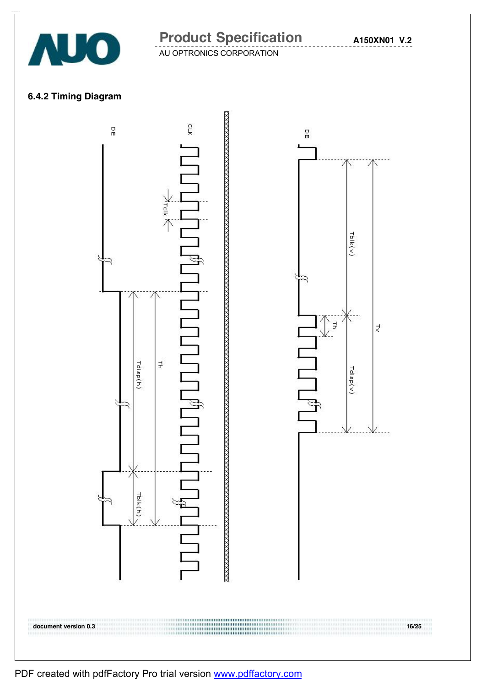

**A150XN01 V.2**

AU OPTRONICS CORPORATION

### **6.4.2 Timing Diagram**



PDF created with pdfFactory Pro trial version [www.pdffactory.com](http://www.pdffactory.com)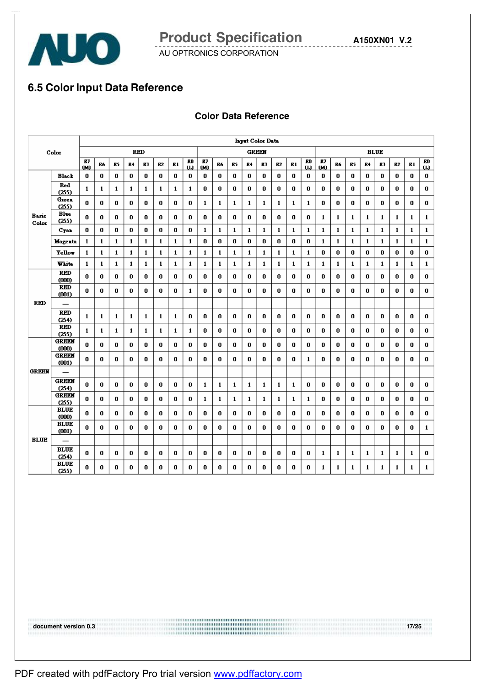

**A150XN01 V.2**

AU OPTRONICS CORPORATION

# **6.5 Color Input Data Reference**

#### **Color Data Reference**

|                |                                   | <b>Input Color Data</b> |             |             |              |              |              |    |                |           |    |              |              |              |          |    |              |              |              |              |              |              |              |    |                |
|----------------|-----------------------------------|-------------------------|-------------|-------------|--------------|--------------|--------------|----|----------------|-----------|----|--------------|--------------|--------------|----------|----|--------------|--------------|--------------|--------------|--------------|--------------|--------------|----|----------------|
|                | Color                             |                         |             |             |              | <b>RED</b>   |              |    |                |           |    |              |              | <b>GREEN</b> |          |    |              |              |              |              | <b>BLUE</b>  |              |              |    |                |
|                |                                   | RT<br>(M)               | Ró          | R5          | R4           | R3           | R2           | R1 | RO<br>$\omega$ | RJ<br>(M) | Ró | R5           | R4           | R3           | R2       | R1 | RO<br>ω      | RT<br>(M)    | R6           | R5           | R4           | R3           | R2           | R1 | RO<br>$\omega$ |
|                | <b>Black</b>                      | 0                       | 0           | 0           | 0            | 0            | 0            | 0  | 0              | 0         | 0  | 0            | 0            | 0            | 0        | 0  | 0            | 0            | 0            | 0            | 0            | 0            | 0            | 0  | 0              |
|                | Red<br>(255)                      | 1                       | 1           | 1           | 1            | 1            | 1            | 1  | 1              | 0         | 0  | 0            | 0            | 0            | 0        | 0  | 0            | 0            | 0            | 0            | 0            | 0            | 0            | 0  | 0              |
|                | Green<br>(255)                    | 0                       | 0           | 0           | 0            | 0            | 0            | 0  | 0              | 1         | 1  | 1            | 1            | 1            | 1        | 1  | $\mathbf{1}$ | 0            | 0            | 0            | 0            | 0            | 0            | 0  | 0              |
| Basic<br>Color | <b>Blue</b><br>(255)              | 0                       | 0           | 0           | 0            | 0            | 0            | 0  | 0              | 0         | 0  | 0            | 0            | 0            | 0        | 0  | 0            | 1            | 1            | 1            | 1            | 1            | 1            | 1  | 1              |
|                | C <sub>T</sub> an                 | 0                       | 0           | 0           | 0            | 0            | 0            | 0  | 0              | 1         | 1  | 1            | $\mathbf{1}$ | 1            | 1        | 1  | $\mathbf{1}$ | 1            | 1            | 1            | 1            | 1            | 1            | 1  | 1              |
|                | Magenta                           | $\mathbf 1$             | $\mathbf 1$ | $\mathbf 1$ | $\mathbf{1}$ | $\mathbf{1}$ | $\mathbf{1}$ | 1  | $\mathbf{1}$   | 0         | 0  | 0            | 0            | 0            | $\bf{0}$ | 0  | 0            | $\mathbf{1}$ | $\mathbf{1}$ | $\mathbf{1}$ | $\mathbf 1$  | $\mathbf{1}$ | $\mathbf{1}$ | 1  | 1              |
|                | <b>Yellow</b>                     | 1                       | 1           | 1           | 1            | 1            | 1            | 1  | 1              | 1         | 1  | 1            | 1            | 1            | 1        | 1  | 1            | 0            | 0            | 0            | 0            | 0            | 0            | 0  | 0              |
|                | White                             | $\mathbf{1}$            | 1           | 1           | $\mathbf{1}$ | 1            | 1            | 1  | 1              | 1         | 1  | $\mathbf{1}$ | 1            | 1            | 1        | 1  | 1            | $\mathbf{1}$ | $\mathbf{1}$ | 1            | 1            | 1            | 1            | 1  | $\mathbf{1}$   |
|                | <b>RED</b><br>(000)               | 0                       | 0           | 0           | 0            | 0            | 0            | 0  | 0              | 0         | 0  | 0            | 0            | 0            | 0        | 0  | 0            | 0            | 0            | 0            | 0            | 0            | 0            | 0  | 0              |
|                | <b>RED</b><br>(001)               | 0                       | 0           | 0           | 0            | 0            | 0            | 0  | 1              | 0         | 0  | 0            | 0            | 0            | 0        | 0  | 0            | 0            | 0            | 0            | 0            | 0            | 0            | 0  | 0              |
| <b>RED</b>     | $\overline{\phantom{0}}$          |                         |             |             |              |              |              |    |                |           |    |              |              |              |          |    |              |              |              |              |              |              |              |    |                |
|                | <b>RED</b>                        | 1                       | 1           | 1           | 1            | 1            | 1            | 1  | 0              | 0         | 0  | 0            | 0            | 0            | 0        | 0  | 0            | 0            | 0            | 0            | 0            | 0            | 0            | 0  | 0              |
|                | (254)<br><b>RED</b>               | 1                       | 1           | 1           | 1            | 1            | 1            | 1  | 1              | 0         | 0  | 0            | 0            | 0            | 0        | 0  | 0            | 0            | 0            | 0            | 0            | 0            | 0            | 0  | 0              |
|                | (255)<br>GREEN                    | 0                       | 0           | 0           | 0            | 0            | 0            | 0  | 0              | 0         | 0  | 0            | 0            | 0            | 0        | 0  | 0            | 0            | 0            | 0            | 0            | 0            | 0            | 0  | 0              |
|                | (000)<br>GREEM                    | 0                       | 0           | 0           | 0            | 0            | 0            | 0  | 0              | 0         | 0  | 0            | 0            | 0            | 0        | 0  | 1            | 0            | 0            | 0            | 0            | 0            | 0            | 0  | 0              |
| <b>GREEN</b>   | (001)<br>$\overline{\phantom{0}}$ |                         |             |             |              |              |              |    |                |           |    |              |              |              |          |    |              |              |              |              |              |              |              |    |                |
|                | GREEN                             | 0                       | 0           | 0           | 0            | 0            | 0            | 0  | 0              | 1         | 1  | 1            | 1            | 1            | 1        | 1  | 0            | 0            | 0            | 0            | 0            | 0            | 0            | 0  | 0              |
|                | (254)<br><b>GREEN</b><br>(255)    | 0                       | 0           | 0           | 0            | 0            | 0            | 0  | 0              | 1         | 1  | 1            | 1            | 1            | 1        | 1  | 1            | 0            | 0            | 0            | 0            | 0            | 0            | 0  | 0              |
|                | <b>BLUE</b><br>(000)              | 0                       | 0           | 0           | 0            | 0            | 0            | 0  | 0              | 0         | 0  | 0            | 0            | 0            | 0        | 0  | 0            | 0            | 0            | 0            | 0            | 0            | 0            | 0  | 0              |
|                | <b>BLUE</b><br>(001)              | 0                       | 0           | 0           | 0            | 0            | 0            | 0  | 0              | 0         | 0  | 0            | 0            | 0            | 0        | 0  | 0            | 0            | 0            | 0            | 0            | 0            | 0            | 0  | 1              |
| <b>BLUE</b>    | $\overline{\phantom{0}}$          |                         |             |             |              |              |              |    |                |           |    |              |              |              |          |    |              |              |              |              |              |              |              |    |                |
|                | <b>BLUE</b><br>(254)              | 0                       | 0           | 0           | 0            | 0            | 0            | 0  | 0              | 0         | 0  | 0            | 0            | 0            | 0        | 0  | 0            | 1            | 1            | 1            | 1            | 1            | 1            | 1  | 0              |
|                | <b>BLUE</b><br>(255)              | 0                       | 0           | 0           | 0            | 0            | 0            | 0  | 0              | 0         | 0  | 0            | 0            | 0            | 0        | 0  | 0            | $\mathbf{1}$ | $\mathbf{1}$ | 1            | $\mathbf{1}$ | $\mathbf{1}$ | 1            | 1  | 1              |
|                |                                   |                         |             |             |              |              |              |    |                |           |    |              |              |              |          |    |              |              |              |              |              |              |              |    |                |

**document version 0.3 17/25**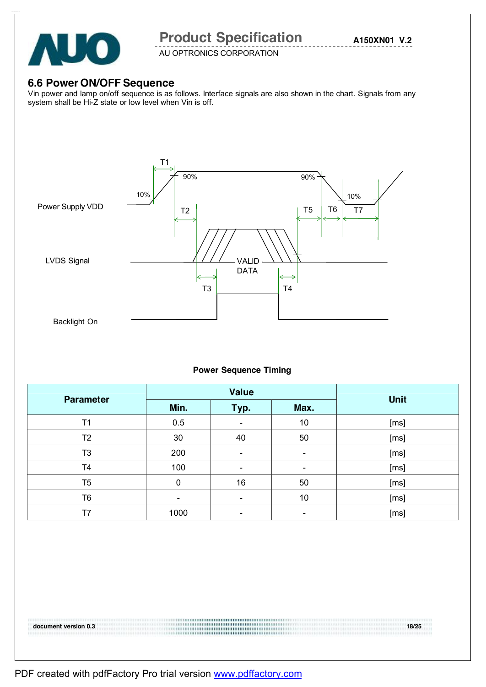

AU OPTRONICS CORPORATION

### **6.6 Power ON/OFF Sequence**

Vin power and lamp on/off sequence is as follows. Interface signals are also shown in the chart. Signals from any system shall be Hi-Z state or low level when Vin is off.



#### **Power Sequence Timing**

| <b>Parameter</b> |                | <b>Value</b>                 |                | <b>Unit</b> |
|------------------|----------------|------------------------------|----------------|-------------|
|                  | Min.           | Typ.                         | Max.           |             |
| T <sub>1</sub>   | 0.5            | $\overline{\phantom{0}}$     | 10             | [ms]        |
| T <sub>2</sub>   | 30             | 40                           | 50             | [ms]        |
| T <sub>3</sub>   | 200            | $\qquad \qquad \blacksquare$ | -              | [ms]        |
| T4               | 100            | $\qquad \qquad \blacksquare$ | $\blacksquare$ | [ms]        |
| T <sub>5</sub>   | 0              | 16                           | 50             | [ms]        |
| T6               | $\blacksquare$ | $\overline{\phantom{0}}$     | 10             | [ms]        |
| T7               | 1000           | $\overline{\phantom{0}}$     | -              | [ms]        |

**document version 0.3 18/25**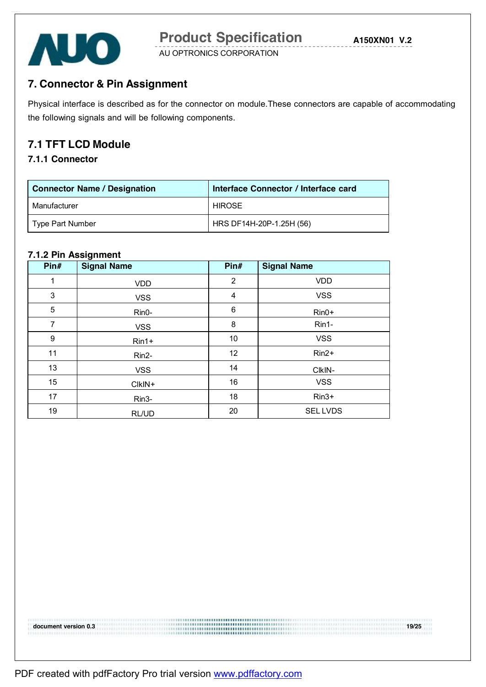

# **7. Connector & Pin Assignment**

Physical interface is described as for the connector on module.These connectors are capable of accommodating the following signals and will be following components.

### **7.1 TFT LCD Module**

### **7.1.1 Connector**

| <b>Connector Name / Designation</b> | Interface Connector / Interface card |  |  |  |  |
|-------------------------------------|--------------------------------------|--|--|--|--|
| Manufacturer                        | <b>HIROSE</b>                        |  |  |  |  |
| Type Part Number                    | HRS DF14H-20P-1.25H (56)             |  |  |  |  |

#### **7.1.2 Pin Assignment**

| Pin# | <b>Signal Name</b> | Pin#           | <b>Signal Name</b> |
|------|--------------------|----------------|--------------------|
| 1    | <b>VDD</b>         | $\overline{2}$ | <b>VDD</b>         |
| 3    | <b>VSS</b>         | 4              | <b>VSS</b>         |
| 5    | Rin0-              | 6              | $Rin0+$            |
| 7    | <b>VSS</b>         | 8              | Rin1-              |
| 9    | $Rin1+$            | 10             | <b>VSS</b>         |
| 11   | Rin2-              | 12             | $Rin2+$            |
| 13   | <b>VSS</b>         | 14             | CIkIN-             |
| 15   | CIkIN+             | 16             | <b>VSS</b>         |
| 17   | Rin3-              | 18             | $Rin3+$            |
| 19   | RL/UD              | 20             | <b>SELLVDS</b>     |

**document version 0.3 19/25**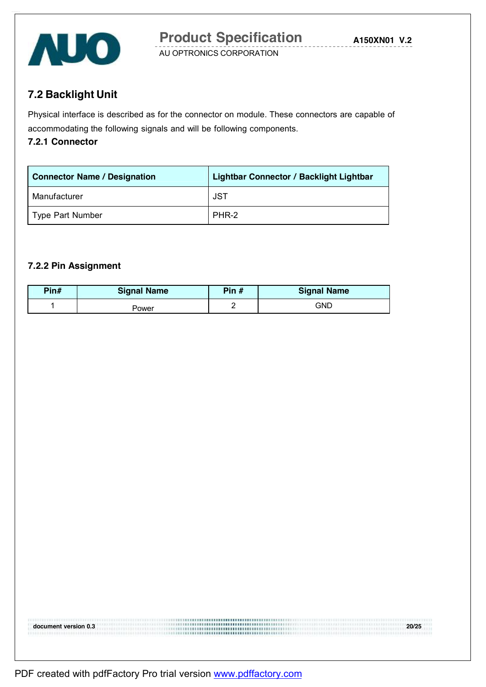

**7.2 Backlight Unit** 

Physical interface is described as for the connector on module. These connectors are capable of accommodating the following signals and will be following components.

#### **7.2.1 Connector**

| <b>Connector Name / Designation</b> | <b>Lightbar Connector / Backlight Lightbar</b> |
|-------------------------------------|------------------------------------------------|
| Manufacturer                        | JST                                            |
| Type Part Number                    | PHR-2                                          |

#### **7.2.2 Pin Assignment**

| Pin# | <b>Signal Name</b> | Pin $#$ | <b>Signal Name</b> |
|------|--------------------|---------|--------------------|
|      | <sup>2</sup> ower  |         | GND                |

**document version 0.3 20/25**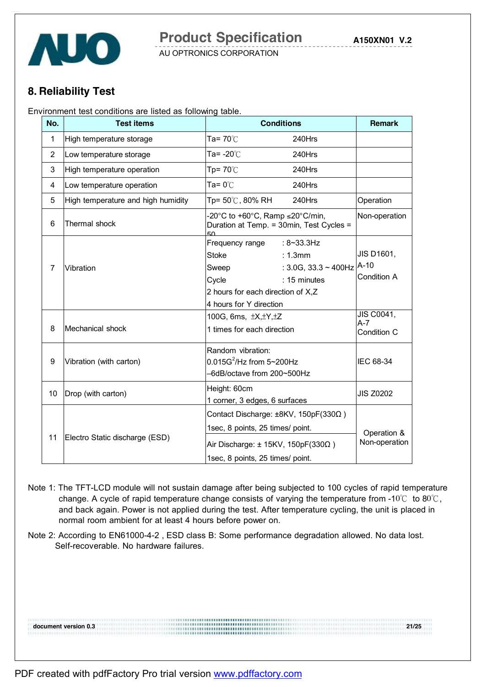

### **8. Reliability Test**

Environment test conditions are listed as following table.

| No.            | <b>Test items</b>                  | <b>Conditions</b>                                                                                                                                                                               | <b>Remark</b>                              |
|----------------|------------------------------------|-------------------------------------------------------------------------------------------------------------------------------------------------------------------------------------------------|--------------------------------------------|
| 1              | High temperature storage           | Ta= $70^{\circ}$ C<br>240Hrs                                                                                                                                                                    |                                            |
| $\overline{2}$ | Low temperature storage            | Ta= -20 $\degree$ C<br>240Hrs                                                                                                                                                                   |                                            |
| 3              | High temperature operation         | $Tp = 70^{\circ}$<br>240Hrs                                                                                                                                                                     |                                            |
| 4              | Low temperature operation          | Ta= $0^{\circ}$ C<br>240Hrs                                                                                                                                                                     |                                            |
| 5              | High temperature and high humidity | Tp= 50℃, 80% RH<br>240Hrs                                                                                                                                                                       | Operation                                  |
| 6              | Thermal shock                      | -20°C to +60°C, Ramp $\leq$ 20°C/min,<br>Duration at Temp. = 30min, Test Cycles =                                                                                                               | Non-operation                              |
| 7              | Vibration                          | Frequency range<br>$: 8 - 33.3$ Hz<br><b>Stoke</b><br>: 1.3mm<br>: $3.0G$ , $33.3 \sim 400Hz$<br>Sweep<br>Cycle<br>: 15 minutes<br>2 hours for each direction of X,Z<br>4 hours for Y direction | <b>JIS D1601,</b><br>$A-10$<br>Condition A |
| 8              | Mechanical shock                   | 100G, 6ms, ±X, ±Y, ±Z<br>1 times for each direction                                                                                                                                             | JIS C0041,<br>$A - 7$<br>Condition C       |
| 9              | Vibration (with carton)            | Random vibration:<br>$0.015G^2$ /Hz from 5~200Hz<br>-6dB/octave from 200~500Hz                                                                                                                  | IEC 68-34                                  |
| 10             | Drop (with carton)                 | Height: 60cm<br>1 corner, 3 edges, 6 surfaces                                                                                                                                                   | <b>JIS Z0202</b>                           |
| 11             | Electro Static discharge (ESD)     | Contact Discharge: ±8KV, 150pF(330Ω)<br>1sec, 8 points, 25 times/ point.<br>Air Discharge: $\pm$ 15KV, 150pF(330 $\Omega$ )<br>1sec, 8 points, 25 times/ point.                                 | Operation &<br>Non-operation               |

- Note 1: The TFT-LCD module will not sustain damage after being subjected to 100 cycles of rapid temperature change. A cycle of rapid temperature change consists of varying the temperature from -10 $\degree$  to 80 $\degree$ C, and back again. Power is not applied during the test. After temperature cycling, the unit is placed in normal room ambient for at least 4 hours before power on.
- Note 2: According to EN61000-4-2 , ESD class B: Some performance degradation allowed. No data lost. Self-recoverable. No hardware failures.

**document version 0.3 21/25**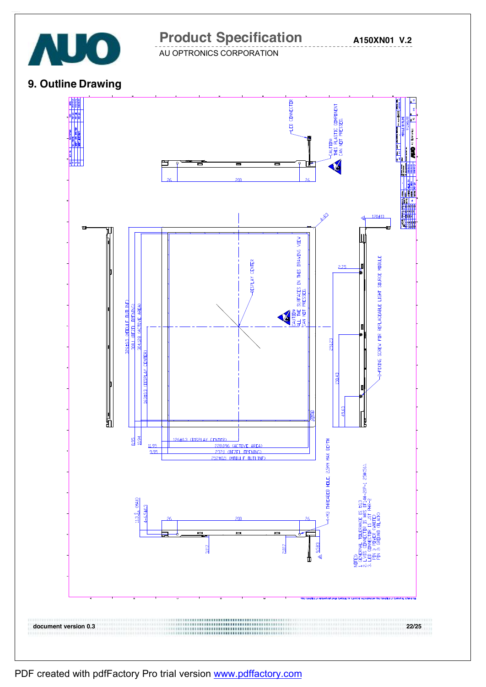

**A150XN01 V.2**

AU OPTRONICS CORPORATION

### **9. Outline Drawing**



PDF created with pdfFactory Pro trial version [www.pdffactory.com](http://www.pdffactory.com)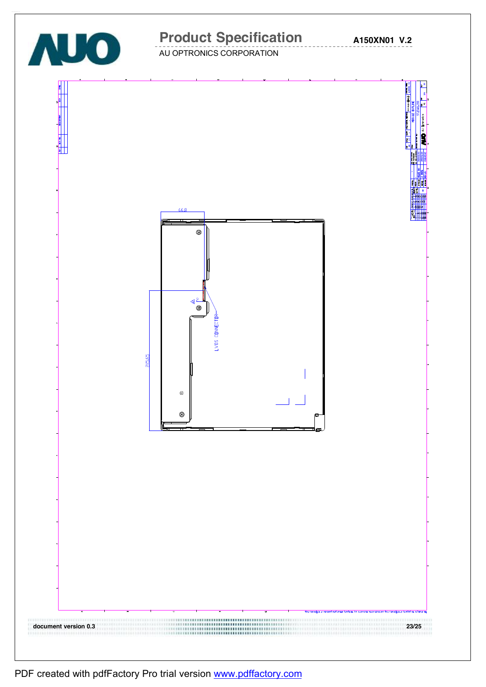

PDF created with pdfFactory Pro trial version [www.pdffactory.com](http://www.pdffactory.com)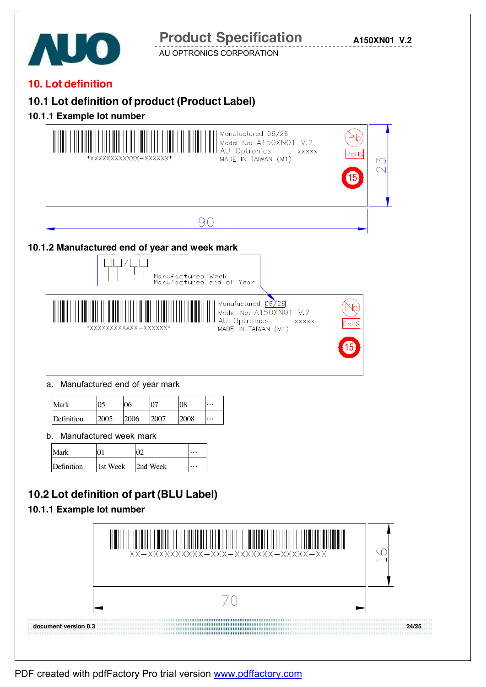

PDF created with pdfFactory Pro trial version [www.pdffactory.com](http://www.pdffactory.com)